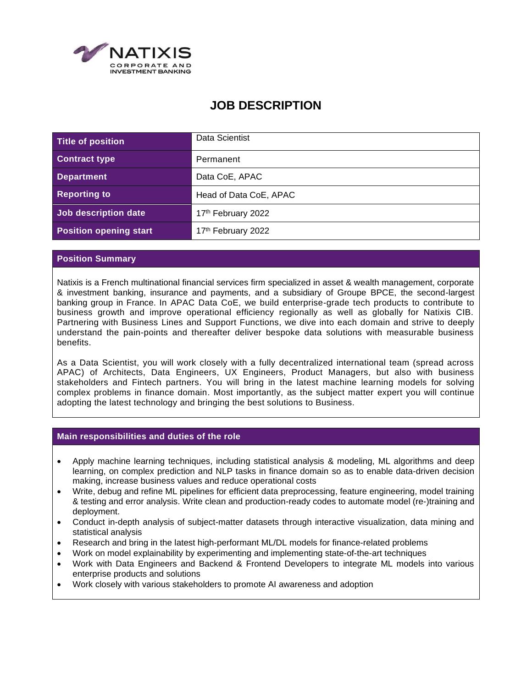

# **JOB DESCRIPTION**

| Title of position             | Data Scientist         |
|-------------------------------|------------------------|
| <b>Contract type</b>          | Permanent              |
| <b>Department</b>             | Data CoE, APAC         |
| <b>Reporting to</b>           | Head of Data CoE, APAC |
| Job description date          | 17th February 2022     |
| <b>Position opening start</b> | 17th February 2022     |

# **Position Summary**

Natixis is a French multinational financial services firm specialized in asset & wealth management, corporate & investment banking, insurance and payments, and a subsidiary of Groupe BPCE, the second-largest banking group in France. In APAC Data CoE, we build enterprise-grade tech products to contribute to business growth and improve operational efficiency regionally as well as globally for Natixis CIB. Partnering with Business Lines and Support Functions, we dive into each domain and strive to deeply understand the pain-points and thereafter deliver bespoke data solutions with measurable business benefits.

As a Data Scientist, you will work closely with a fully decentralized international team (spread across APAC) of Architects, Data Engineers, UX Engineers, Product Managers, but also with business stakeholders and Fintech partners. You will bring in the latest machine learning models for solving complex problems in finance domain. Most importantly, as the subject matter expert you will continue adopting the latest technology and bringing the best solutions to Business.

### **Main responsibilities and duties of the role**

- Apply machine learning techniques, including statistical analysis & modeling, ML algorithms and deep learning, on complex prediction and NLP tasks in finance domain so as to enable data-driven decision making, increase business values and reduce operational costs
- Write, debug and refine ML pipelines for efficient data preprocessing, feature engineering, model training & testing and error analysis. Write clean and production-ready codes to automate model (re-)training and deployment.
- Conduct in-depth analysis of subject-matter datasets through interactive visualization, data mining and statistical analysis
- Research and bring in the latest high-performant ML/DL models for finance-related problems
- Work on model explainability by experimenting and implementing state-of-the-art techniques
- Work with Data Engineers and Backend & Frontend Developers to integrate ML models into various enterprise products and solutions
- Work closely with various stakeholders to promote AI awareness and adoption